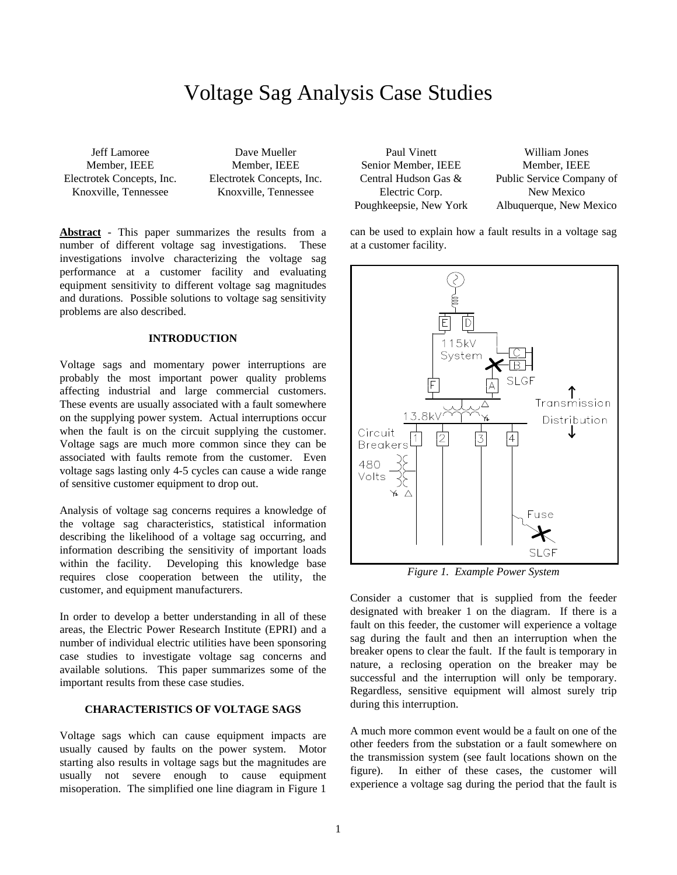# Voltage Sag Analysis Case Studies

Jeff Lamoree Member, IEEE Electrotek Concepts, Inc. Knoxville, Tennessee

Dave Mueller Member, IEEE Electrotek Concepts, Inc. Knoxville, Tennessee

**Abstract** - This paper summarizes the results from a number of different voltage sag investigations. These investigations involve characterizing the voltage sag performance at a customer facility and evaluating equipment sensitivity to different voltage sag magnitudes and durations. Possible solutions to voltage sag sensitivity problems are also described.

#### **INTRODUCTION**

Voltage sags and momentary power interruptions are probably the most important power quality problems affecting industrial and large commercial customers. These events are usually associated with a fault somewhere on the supplying power system. Actual interruptions occur when the fault is on the circuit supplying the customer. Voltage sags are much more common since they can be associated with faults remote from the customer. Even voltage sags lasting only 4-5 cycles can cause a wide range of sensitive customer equipment to drop out.

Analysis of voltage sag concerns requires a knowledge of the voltage sag characteristics, statistical information describing the likelihood of a voltage sag occurring, and information describing the sensitivity of important loads within the facility. Developing this knowledge base requires close cooperation between the utility, the customer, and equipment manufacturers.

In order to develop a better understanding in all of these areas, the Electric Power Research Institute (EPRI) and a number of individual electric utilities have been sponsoring case studies to investigate voltage sag concerns and available solutions. This paper summarizes some of the important results from these case studies.

#### **CHARACTERISTICS OF VOLTAGE SAGS**

Voltage sags which can cause equipment impacts are usually caused by faults on the power system. Motor starting also results in voltage sags but the magnitudes are usually not severe enough to cause equipment misoperation. The simplified one line diagram in Figure 1

| Paul Vinett            | William Jones             |
|------------------------|---------------------------|
| Senior Member, IEEE    | Member, IEEE              |
| Central Hudson Gas &   | Public Service Company of |
| Electric Corp.         | New Mexico                |
| Poughkeepsie, New York | Albuquerque, New Mexico   |

can be used to explain how a fault results in a voltage sag at a customer facility.



*Figure 1. Example Power System*

Consider a customer that is supplied from the feeder designated with breaker 1 on the diagram. If there is a fault on this feeder, the customer will experience a voltage sag during the fault and then an interruption when the breaker opens to clear the fault. If the fault is temporary in nature, a reclosing operation on the breaker may be successful and the interruption will only be temporary. Regardless, sensitive equipment will almost surely trip during this interruption.

A much more common event would be a fault on one of the other feeders from the substation or a fault somewhere on the transmission system (see fault locations shown on the figure). In either of these cases, the customer will experience a voltage sag during the period that the fault is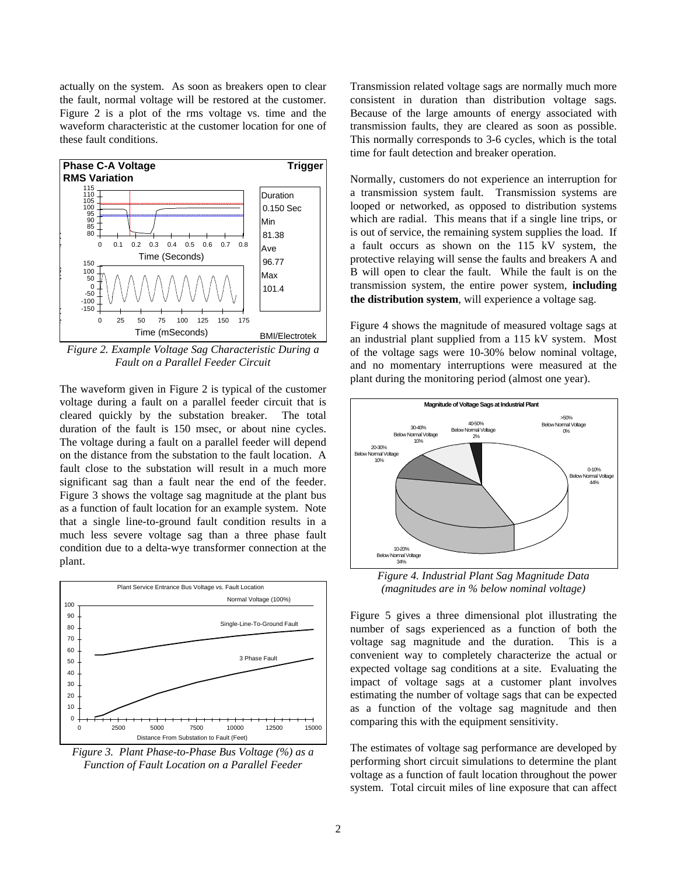actually on the system. As soon as breakers open to clear the fault, normal voltage will be restored at the customer. Figure 2 is a plot of the rms voltage vs. time and the waveform characteristic at the customer location for one of these fault conditions.



*Figure 2. Example Voltage Sag Characteristic During a Fault on a Parallel Feeder Circuit*

The waveform given in Figure 2 is typical of the customer voltage during a fault on a parallel feeder circuit that is cleared quickly by the substation breaker. The total duration of the fault is 150 msec, or about nine cycles. The voltage during a fault on a parallel feeder will depend on the distance from the substation to the fault location. A fault close to the substation will result in a much more significant sag than a fault near the end of the feeder. Figure 3 shows the voltage sag magnitude at the plant bus as a function of fault location for an example system. Note that a single line-to-ground fault condition results in a much less severe voltage sag than a three phase fault condition due to a delta-wye transformer connection at the plant.



*Figure 3. Plant Phase-to-Phase Bus Voltage (%) as a Function of Fault Location on a Parallel Feeder*

Transmission related voltage sags are normally much more consistent in duration than distribution voltage sags. Because of the large amounts of energy associated with transmission faults, they are cleared as soon as possible. This normally corresponds to 3-6 cycles, which is the total time for fault detection and breaker operation.

Normally, customers do not experience an interruption for a transmission system fault. Transmission systems are looped or networked, as opposed to distribution systems which are radial. This means that if a single line trips, or is out of service, the remaining system supplies the load. If a fault occurs as shown on the 115 kV system, the protective relaying will sense the faults and breakers A and B will open to clear the fault. While the fault is on the transmission system, the entire power system, **including the distribution system**, will experience a voltage sag.

Figure 4 shows the magnitude of measured voltage sags at an industrial plant supplied from a 115 kV system. Most of the voltage sags were 10-30% below nominal voltage, and no momentary interruptions were measured at the plant during the monitoring period (almost one year).



*Figure 4. Industrial Plant Sag Magnitude Data (magnitudes are in % below nominal voltage)*

Figure 5 gives a three dimensional plot illustrating the number of sags experienced as a function of both the voltage sag magnitude and the duration. This is a convenient way to completely characterize the actual or expected voltage sag conditions at a site. Evaluating the impact of voltage sags at a customer plant involves estimating the number of voltage sags that can be expected as a function of the voltage sag magnitude and then comparing this with the equipment sensitivity.

The estimates of voltage sag performance are developed by performing short circuit simulations to determine the plant voltage as a function of fault location throughout the power system. Total circuit miles of line exposure that can affect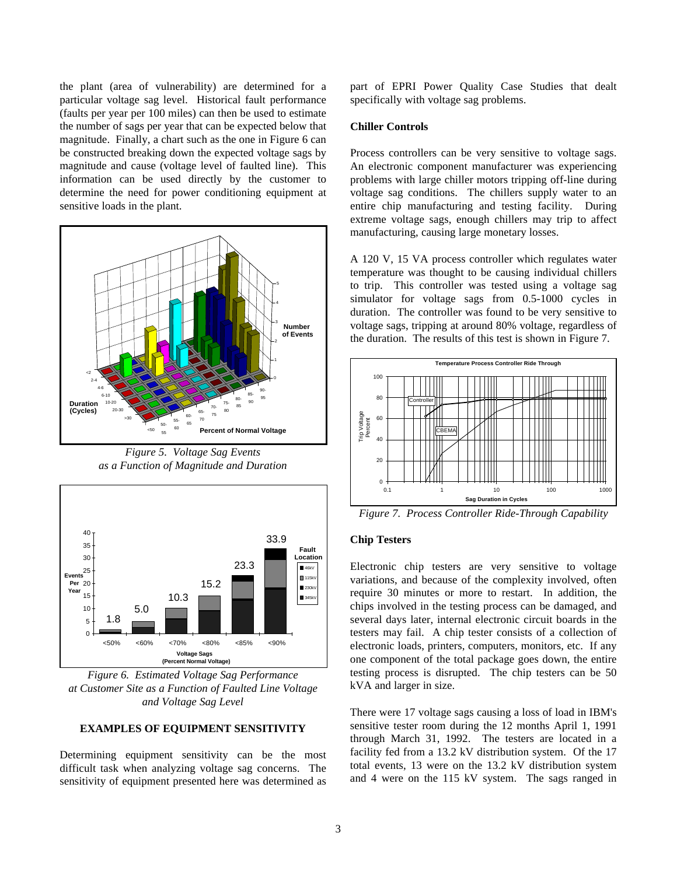the plant (area of vulnerability) are determined for a particular voltage sag level. Historical fault performance (faults per year per 100 miles) can then be used to estimate the number of sags per year that can be expected below that magnitude. Finally, a chart such as the one in Figure 6 can be constructed breaking down the expected voltage sags by magnitude and cause (voltage level of faulted line). This information can be used directly by the customer to determine the need for power conditioning equipment at sensitive loads in the plant.



*Figure 5. Voltage Sag Events as a Function of Magnitude and Duration*



*Figure 6. Estimated Voltage Sag Performance at Customer Site as a Function of Faulted Line Voltage and Voltage Sag Level*

#### **EXAMPLES OF EQUIPMENT SENSITIVITY**

Determining equipment sensitivity can be the most difficult task when analyzing voltage sag concerns. The sensitivity of equipment presented here was determined as part of EPRI Power Quality Case Studies that dealt specifically with voltage sag problems.

#### **Chiller Controls**

Process controllers can be very sensitive to voltage sags. An electronic component manufacturer was experiencing problems with large chiller motors tripping off-line during voltage sag conditions. The chillers supply water to an entire chip manufacturing and testing facility. During extreme voltage sags, enough chillers may trip to affect manufacturing, causing large monetary losses.

A 120 V, 15 VA process controller which regulates water temperature was thought to be causing individual chillers to trip. This controller was tested using a voltage sag simulator for voltage sags from 0.5-1000 cycles in duration. The controller was found to be very sensitive to voltage sags, tripping at around 80% voltage, regardless of the duration. The results of this test is shown in Figure 7.



*Figure 7. Process Controller Ride-Through Capability*

## **Chip Testers**

Electronic chip testers are very sensitive to voltage variations, and because of the complexity involved, often require 30 minutes or more to restart. In addition, the chips involved in the testing process can be damaged, and several days later, internal electronic circuit boards in the testers may fail. A chip tester consists of a collection of electronic loads, printers, computers, monitors, etc. If any one component of the total package goes down, the entire testing process is disrupted. The chip testers can be 50 kVA and larger in size.

There were 17 voltage sags causing a loss of load in IBM's sensitive tester room during the 12 months April 1, 1991 through March 31, 1992. The testers are located in a facility fed from a 13.2 kV distribution system. Of the 17 total events, 13 were on the 13.2 kV distribution system and 4 were on the 115 kV system. The sags ranged in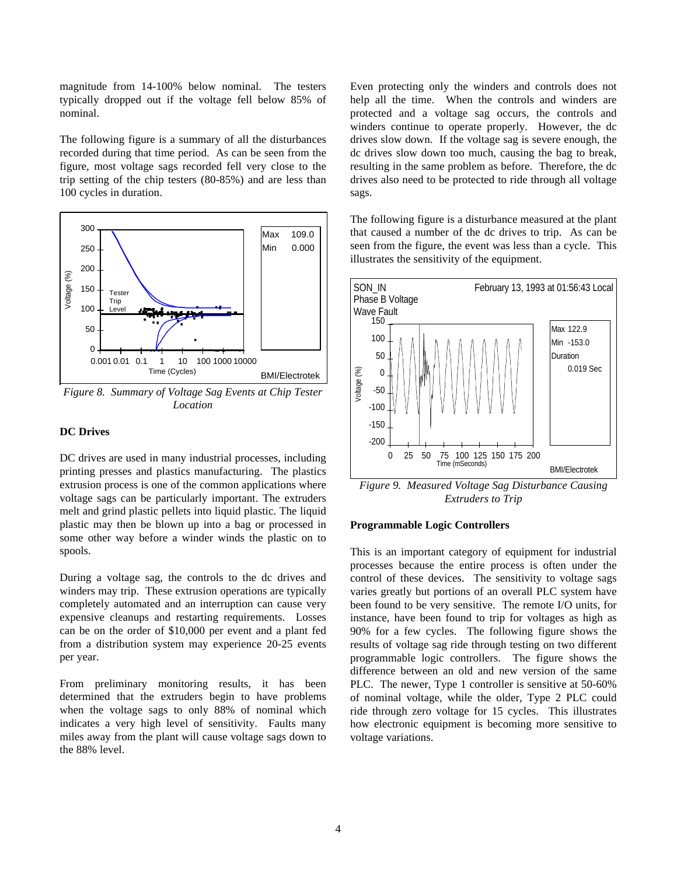magnitude from 14-100% below nominal. The testers typically dropped out if the voltage fell below 85% of nominal.

The following figure is a summary of all the disturbances recorded during that time period. As can be seen from the figure, most voltage sags recorded fell very close to the trip setting of the chip testers (80-85%) and are less than 100 cycles in duration.



*Figure 8. Summary of Voltage Sag Events at Chip Tester Location*

#### **DC Drives**

DC drives are used in many industrial processes, including printing presses and plastics manufacturing. The plastics extrusion process is one of the common applications where voltage sags can be particularly important. The extruders melt and grind plastic pellets into liquid plastic. The liquid plastic may then be blown up into a bag or processed in some other way before a winder winds the plastic on to spools.

During a voltage sag, the controls to the dc drives and winders may trip. These extrusion operations are typically completely automated and an interruption can cause very expensive cleanups and restarting requirements. Losses can be on the order of \$10,000 per event and a plant fed from a distribution system may experience 20-25 events per year.

From preliminary monitoring results, it has been determined that the extruders begin to have problems when the voltage sags to only 88% of nominal which indicates a very high level of sensitivity. Faults many miles away from the plant will cause voltage sags down to the 88% level.

Even protecting only the winders and controls does not help all the time. When the controls and winders are protected and a voltage sag occurs, the controls and winders continue to operate properly. However, the dc drives slow down. If the voltage sag is severe enough, the dc drives slow down too much, causing the bag to break, resulting in the same problem as before. Therefore, the dc drives also need to be protected to ride through all voltage sags.

The following figure is a disturbance measured at the plant that caused a number of the dc drives to trip. As can be seen from the figure, the event was less than a cycle. This illustrates the sensitivity of the equipment.



*Figure 9. Measured Voltage Sag Disturbance Causing Extruders to Trip*

#### **Programmable Logic Controllers**

This is an important category of equipment for industrial processes because the entire process is often under the control of these devices. The sensitivity to voltage sags varies greatly but portions of an overall PLC system have been found to be very sensitive. The remote I/O units, for instance, have been found to trip for voltages as high as 90% for a few cycles. The following figure shows the results of voltage sag ride through testing on two different programmable logic controllers. The figure shows the difference between an old and new version of the same PLC. The newer, Type 1 controller is sensitive at 50-60% of nominal voltage, while the older, Type 2 PLC could ride through zero voltage for 15 cycles. This illustrates how electronic equipment is becoming more sensitive to voltage variations.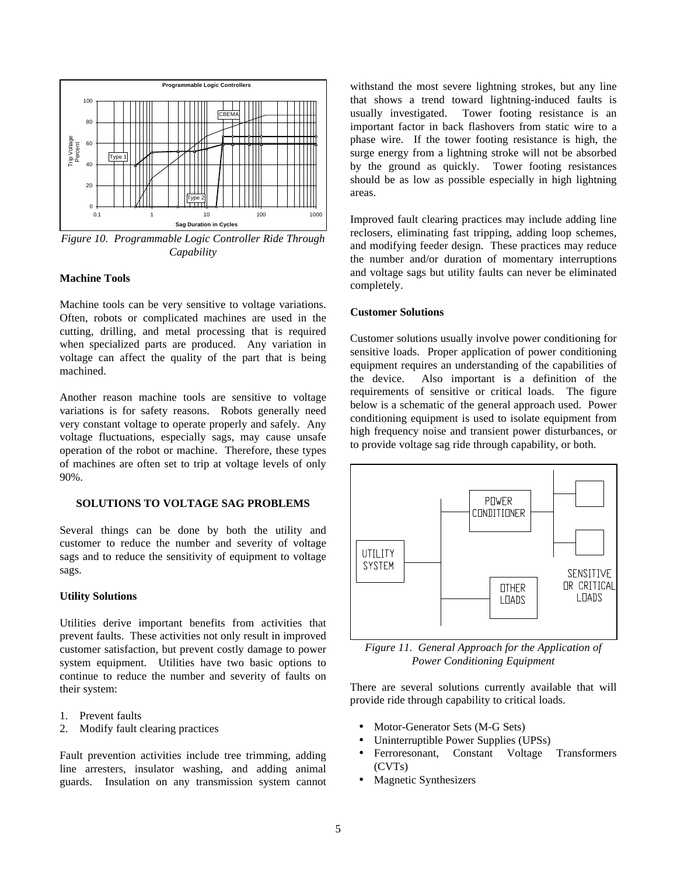

*Figure 10. Programmable Logic Controller Ride Through Capability*

#### **Machine Tools**

Machine tools can be very sensitive to voltage variations. Often, robots or complicated machines are used in the cutting, drilling, and metal processing that is required when specialized parts are produced. Any variation in voltage can affect the quality of the part that is being machined.

Another reason machine tools are sensitive to voltage variations is for safety reasons. Robots generally need very constant voltage to operate properly and safely. Any voltage fluctuations, especially sags, may cause unsafe operation of the robot or machine. Therefore, these types of machines are often set to trip at voltage levels of only 90%.

#### **SOLUTIONS TO VOLTAGE SAG PROBLEMS**

Several things can be done by both the utility and customer to reduce the number and severity of voltage sags and to reduce the sensitivity of equipment to voltage sags.

#### **Utility Solutions**

Utilities derive important benefits from activities that prevent faults. These activities not only result in improved customer satisfaction, but prevent costly damage to power system equipment. Utilities have two basic options to continue to reduce the number and severity of faults on their system:

- 1. Prevent faults
- 2. Modify fault clearing practices

Fault prevention activities include tree trimming, adding line arresters, insulator washing, and adding animal guards. Insulation on any transmission system cannot withstand the most severe lightning strokes, but any line that shows a trend toward lightning-induced faults is usually investigated. Tower footing resistance is an important factor in back flashovers from static wire to a phase wire. If the tower footing resistance is high, the surge energy from a lightning stroke will not be absorbed by the ground as quickly. Tower footing resistances should be as low as possible especially in high lightning areas.

Improved fault clearing practices may include adding line reclosers, eliminating fast tripping, adding loop schemes, and modifying feeder design. These practices may reduce the number and/or duration of momentary interruptions and voltage sags but utility faults can never be eliminated completely.

#### **Customer Solutions**

Customer solutions usually involve power conditioning for sensitive loads. Proper application of power conditioning equipment requires an understanding of the capabilities of the device. Also important is a definition of the requirements of sensitive or critical loads. The figure below is a schematic of the general approach used. Power conditioning equipment is used to isolate equipment from high frequency noise and transient power disturbances, or to provide voltage sag ride through capability, or both.



*Figure 11. General Approach for the Application of Power Conditioning Equipment*

There are several solutions currently available that will provide ride through capability to critical loads.

- Motor-Generator Sets (M-G Sets)
- Uninterruptible Power Supplies (UPSs)
- Ferroresonant, Constant Voltage Transformers (CVTs)
- Magnetic Synthesizers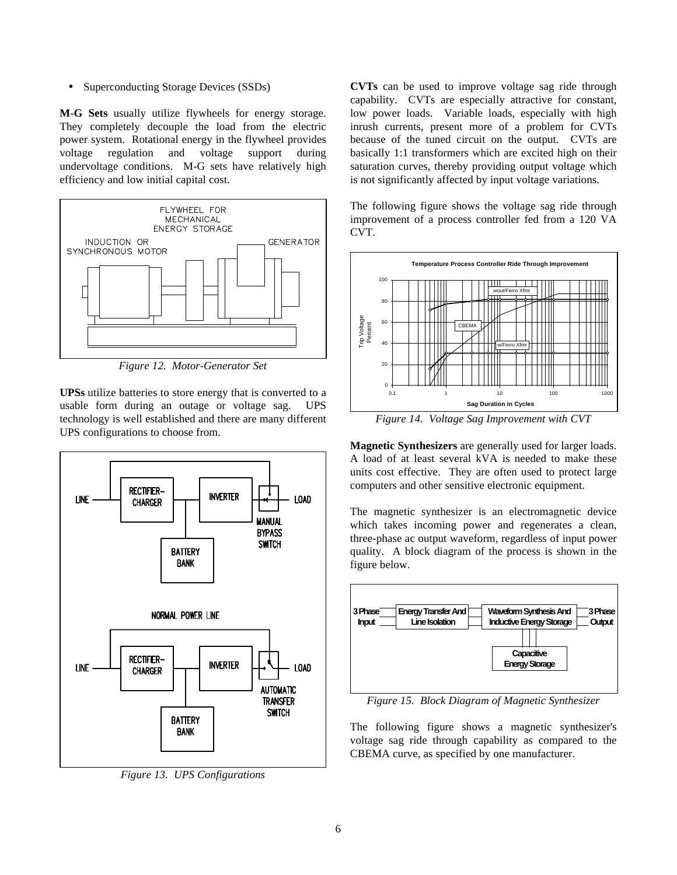• Superconducting Storage Devices (SSDs)

**M-G Sets** usually utilize flywheels for energy storage. They completely decouple the load from the electric power system. Rotational energy in the flywheel provides voltage regulation and voltage support during undervoltage conditions. M-G sets have relatively high efficiency and low initial capital cost.



*Figure 12. Motor-Generator Set*

**UPSs** utilize batteries to store energy that is converted to a usable form during an outage or voltage sag. UPS technology is well established and there are many different UPS configurations to choose from.



*Figure 13. UPS Configurations*

**CVTs** can be used to improve voltage sag ride through capability. CVTs are especially attractive for constant, low power loads. Variable loads, especially with high inrush currents, present more of a problem for CVTs because of the tuned circuit on the output. CVTs are basically 1:1 transformers which are excited high on their saturation curves, thereby providing output voltage which is not significantly affected by input voltage variations.

The following figure shows the voltage sag ride through improvement of a process controller fed from a 120 VA CVT.



*Figure 14. Voltage Sag Improvement with CVT*

**Magnetic Synthesizers** are generally used for larger loads. A load of at least several kVA is needed to make these units cost effective. They are often used to protect large computers and other sensitive electronic equipment.

The magnetic synthesizer is an electromagnetic device which takes incoming power and regenerates a clean, three-phase ac output waveform, regardless of input power quality. A block diagram of the process is shown in the figure below.



*Figure 15. Block Diagram of Magnetic Synthesizer*

The following figure shows a magnetic synthesizer's voltage sag ride through capability as compared to the CBEMA curve, as specified by one manufacturer.